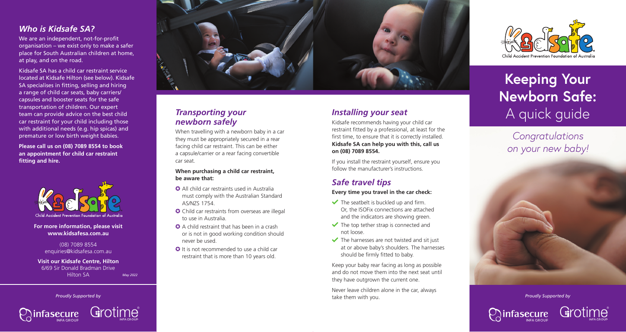### *Who is Kidsafe SA?*

We are an independent, not-for-profit organisation – we exist only to make a safer place for South Australian children at home, at play, and on the road.

Kidsafe SA has a child car restraint service located at Kidsafe Hilton (see below). Kidsafe SA specialises in fitting, selling and hiring a range of child car seats, baby carriers/ capsules and booster seats for the safe transportation of children. Our expert team can provide advice on the best child car restraint for your child including those with additional needs (e.g. hip spicas) and premature or low birth weight babies.

**Please call us on (08) 7089 8554 to book an appointment for child car restraint fitting and hire.**



**For more information, please visit www.kidsafesa.com.au**

> (08) 7089 8554 enquiries@kidsafesa.com.au

**Visit our Kidsafe Centre, Hilton** 6/69 Sir Donald Bradman Drive Hilton SA *May 2022*





### *Transporting your newborn safely*

When travelling with a newborn baby in a car they must be appropriately secured in a rear facing child car restraint. This can be either a capsule/carrier or a rear facing convertible car seat.

**When purchasing a child car restraint, be aware that:**

- ✪ All child car restraints used in Australia must comply with the Australian Standard AS/NZS 1754.
- ✪ Child car restraints from overseas are illegal to use in Australia.
- **◯** A child restraint that has been in a crash or is not in good working condition should never be used.
- **☉** It is not recommended to use a child car restraint that is more than 10 years old.

### *Installing your seat*

Kidsafe recommends having your child car restraint fitted by a professional, at least for the first time, to ensure that it is correctly installed. **Kidsafe SA can help you with this, call us on (08) 7089 8554.**

If you install the restraint yourself, ensure you follow the manufacturer's instructions.

### *Safe travel tips*

**Every time you travel in the car check:**

- $\blacktriangleright$  The seatbelt is buckled up and firm. Or, the ISOFix connections are attached and the indicators are showing green.
- $\blacktriangleright$  The top tether strap is connected and not loose.
- $\blacktriangleright$  The harnesses are not twisted and sit just at or above baby's shoulders. The harnesses should be firmly fitted to baby.

Keep your baby rear facing as long as possible and do not move them into the next seat until they have outgrown the current one.

Never leave children alone in the car, always take them with you. *Proudly Supported by Proudly Supported by*



## **Keeping Your Newborn Safe:**  A quick guide

*Congratulations on your new baby!*